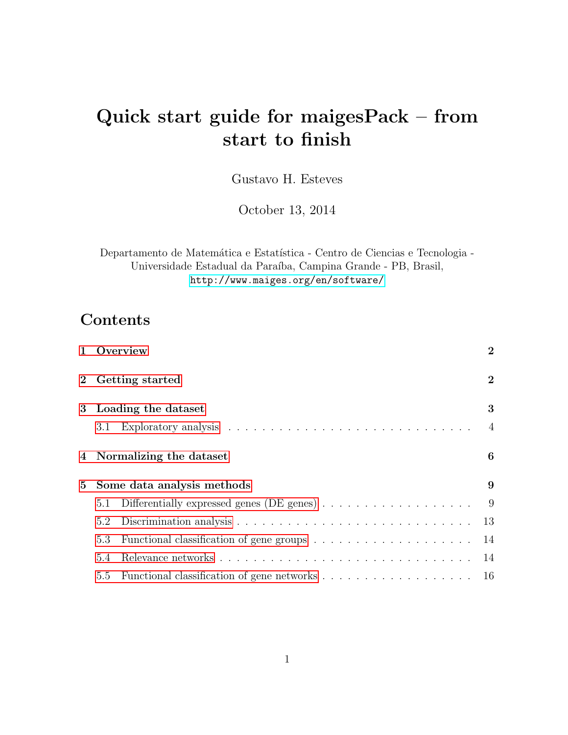# Quick start guide for maigesPack – from start to finish

Gustavo H. Esteves

October 13, 2014

Departamento de Matemática e Estatística - Centro de Ciencias e Tecnologia -Universidade Estadual da Paraíba, Campina Grande - PB, Brasil, <http://www.maiges.org/en/software/>

## **Contents**

|             |     | 1 Overview                                                                     | $\overline{2}$ |
|-------------|-----|--------------------------------------------------------------------------------|----------------|
|             |     | 2 Getting started                                                              | $\overline{2}$ |
|             |     | 3 Loading the dataset                                                          | 3              |
|             | 3.1 |                                                                                | $\overline{4}$ |
|             |     | 4 Normalizing the dataset                                                      | 6              |
| $5^{\circ}$ |     | Some data analysis methods                                                     |                |
|             | 5.1 | Differentially expressed genes (DE genes) $\ldots \ldots \ldots \ldots \ldots$ | - 9            |
|             | 5.2 |                                                                                | 13             |
|             | 5.3 |                                                                                | 14             |
|             | 5.4 |                                                                                | 14             |
|             |     |                                                                                |                |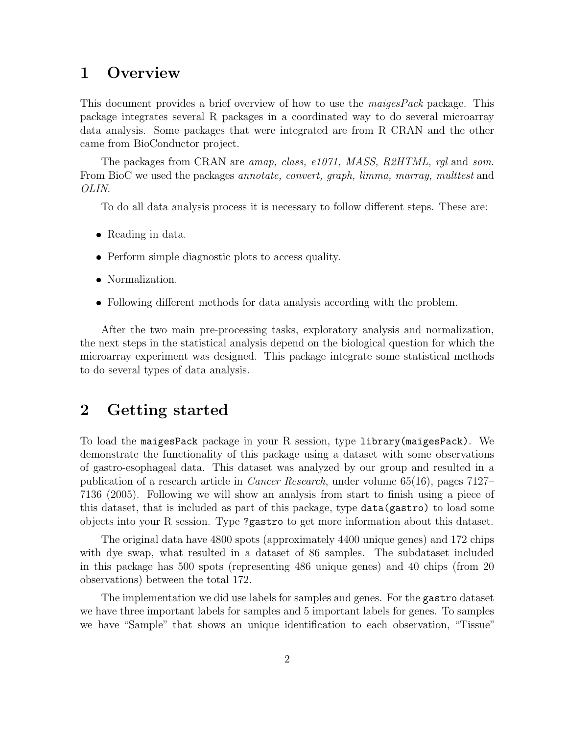## <span id="page-1-0"></span>1 Overview

This document provides a brief overview of how to use the maigesPack package. This package integrates several R packages in a coordinated way to do several microarray data analysis. Some packages that were integrated are from R CRAN and the other came from BioConductor project.

The packages from CRAN are *amap, class, e1071, MASS, R2HTML, rgl* and *som.* From BioC we used the packages *annotate, convert, graph, limma, marray, multtest* and OLIN.

To do all data analysis process it is necessary to follow different steps. These are:

- Reading in data.
- Perform simple diagnostic plots to access quality.
- Normalization.
- Following different methods for data analysis according with the problem.

After the two main pre-processing tasks, exploratory analysis and normalization, the next steps in the statistical analysis depend on the biological question for which the microarray experiment was designed. This package integrate some statistical methods to do several types of data analysis.

## <span id="page-1-1"></span>2 Getting started

To load the maigesPack package in your R session, type library(maigesPack). We demonstrate the functionality of this package using a dataset with some observations of gastro-esophageal data. This dataset was analyzed by our group and resulted in a publication of a research article in Cancer Research, under volume 65(16), pages 7127– 7136 (2005). Following we will show an analysis from start to finish using a piece of this dataset, that is included as part of this package, type data(gastro) to load some objects into your R session. Type ?gastro to get more information about this dataset.

The original data have 4800 spots (approximately 4400 unique genes) and 172 chips with dye swap, what resulted in a dataset of 86 samples. The subdataset included in this package has 500 spots (representing 486 unique genes) and 40 chips (from 20 observations) between the total 172.

The implementation we did use labels for samples and genes. For the gastro dataset we have three important labels for samples and 5 important labels for genes. To samples we have "Sample" that shows an unique identification to each observation, "Tissue"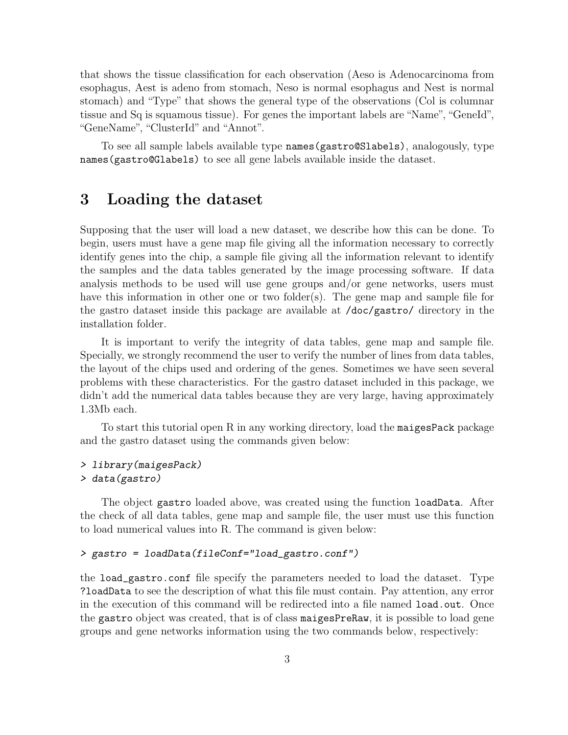that shows the tissue classification for each observation (Aeso is Adenocarcinoma from esophagus, Aest is adeno from stomach, Neso is normal esophagus and Nest is normal stomach) and "Type" that shows the general type of the observations (Col is columnar tissue and Sq is squamous tissue). For genes the important labels are "Name", "GeneId", "GeneName", "ClusterId" and "Annot".

To see all sample labels available type names(gastro@Slabels), analogously, type names(gastro@Glabels) to see all gene labels available inside the dataset.

## <span id="page-2-0"></span>3 Loading the dataset

Supposing that the user will load a new dataset, we describe how this can be done. To begin, users must have a gene map file giving all the information necessary to correctly identify genes into the chip, a sample file giving all the information relevant to identify the samples and the data tables generated by the image processing software. If data analysis methods to be used will use gene groups and/or gene networks, users must have this information in other one or two folder(s). The gene map and sample file for the gastro dataset inside this package are available at /doc/gastro/ directory in the installation folder.

It is important to verify the integrity of data tables, gene map and sample file. Specially, we strongly recommend the user to verify the number of lines from data tables, the layout of the chips used and ordering of the genes. Sometimes we have seen several problems with these characteristics. For the gastro dataset included in this package, we didn't add the numerical data tables because they are very large, having approximately 1.3Mb each.

To start this tutorial open R in any working directory, load the maigesPack package and the gastro dataset using the commands given below:

#### > library(maigesPack) > data(gastro)

The object gastro loaded above, was created using the function loadData. After the check of all data tables, gene map and sample file, the user must use this function to load numerical values into R. The command is given below:

#### > gastro = loadData(fileConf="load\_gastro.conf")

the load\_gastro.conf file specify the parameters needed to load the dataset. Type ?loadData to see the description of what this file must contain. Pay attention, any error in the execution of this command will be redirected into a file named load.out. Once the gastro object was created, that is of class maigesPreRaw, it is possible to load gene groups and gene networks information using the two commands below, respectively: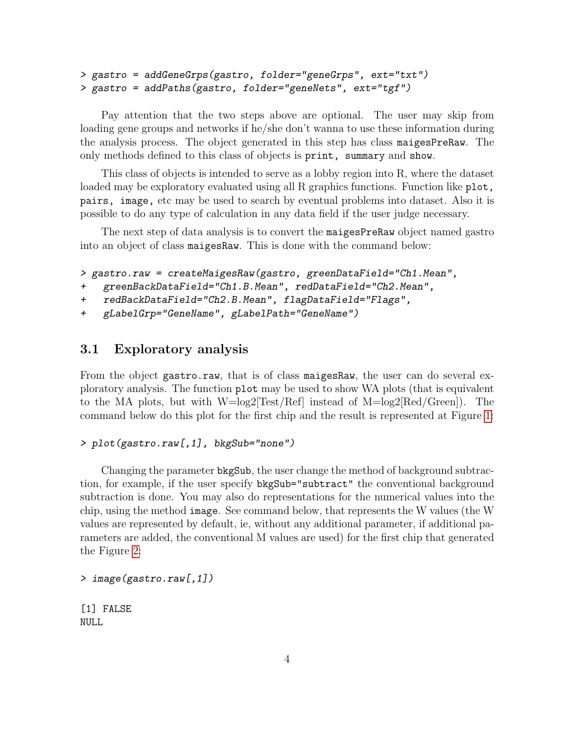```
> gastro = addGeneGrps(gastro, folder="geneGrps", ext="txt")
> gastro = addPaths(gastro, folder="geneNets", ext="tgf")
```
Pay attention that the two steps above are optional. The user may skip from loading gene groups and networks if he/she don't wanna to use these information during the analysis process. The object generated in this step has class maigesPreRaw. The only methods defined to this class of objects is print, summary and show.

This class of objects is intended to serve as a lobby region into R, where the dataset loaded may be exploratory evaluated using all R graphics functions. Function like plot, pairs, image, etc may be used to search by eventual problems into dataset. Also it is possible to do any type of calculation in any data field if the user judge necessary.

The next step of data analysis is to convert the maigesPreRaw object named gastro into an object of class maigesRaw. This is done with the command below:

```
> gastro.raw = createMaigesRaw(gastro, greenDataField="Ch1.Mean",
```

```
+ greenBackDataField="Ch1.B.Mean", redDataField="Ch2.Mean",
```

```
+ redBackDataField="Ch2.B.Mean", flagDataField="Flags",
```

```
+ gLabelGrp="GeneName", gLabelPath="GeneName")
```
#### <span id="page-3-0"></span>3.1 Exploratory analysis

From the object gastro.raw, that is of class maiges Raw, the user can do several exploratory analysis. The function plot may be used to show WA plots (that is equivalent to the MA plots, but with  $W=\log 2$ [Test/Ref] instead of  $M=\log 2$ [Red/Green]). The command below do this plot for the first chip and the result is represented at Figure [1:](#page-4-0)

#### > plot(gastro.raw[,1], bkgSub="none")

Changing the parameter bkgSub, the user change the method of background subtraction, for example, if the user specify bkgSub="subtract" the conventional background subtraction is done. You may also do representations for the numerical values into the chip, using the method image. See command below, that represents the W values (the W values are represented by default, ie, without any additional parameter, if additional parameters are added, the conventional M values are used) for the first chip that generated the Figure [2:](#page-5-1)

```
> image(gastro.raw[,1])
```
[1] FALSE NULL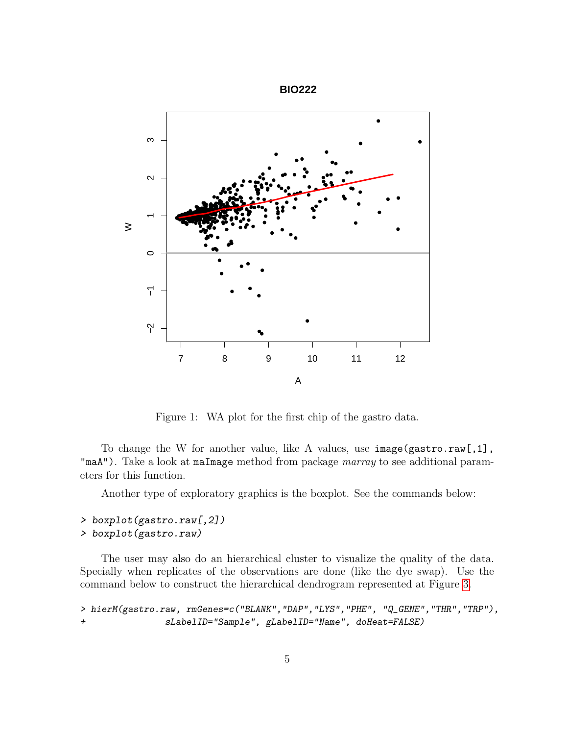

<span id="page-4-0"></span>Figure 1: WA plot for the first chip of the gastro data.

To change the W for another value, like A values, use image(gastro.raw[,1], "maA"). Take a look at maImage method from package *marray* to see additional parameters for this function.

Another type of exploratory graphics is the boxplot. See the commands below:

#### > boxplot(gastro.raw[,2])

```
> boxplot(gastro.raw)
```
The user may also do an hierarchical cluster to visualize the quality of the data. Specially when replicates of the observations are done (like the dye swap). Use the command below to construct the hierarchical dendrogram represented at Figure [3.](#page-6-0)

```
> hierM(gastro.raw, rmGenes=c("BLANK","DAP","LYS","PHE", "Q_GENE","THR","TRP"),
+ sLabelID="Sample", gLabelID="Name", doHeat=FALSE)
```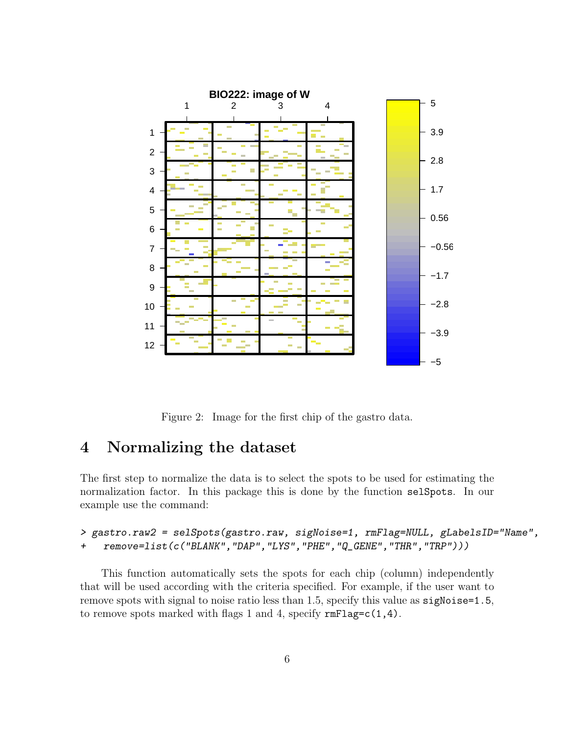

<span id="page-5-1"></span>Figure 2: Image for the first chip of the gastro data.

## <span id="page-5-0"></span>4 Normalizing the dataset

The first step to normalize the data is to select the spots to be used for estimating the normalization factor. In this package this is done by the function selSpots. In our example use the command:

```
> gastro.raw2 = selSpots(gastro.raw, sigNoise=1, rmFlag=NULL, gLabelsID="Name",
+ remove=list(c("BLANK","DAP","LYS","PHE","Q_GENE","THR","TRP")))
```
This function automatically sets the spots for each chip (column) independently that will be used according with the criteria specified. For example, if the user want to remove spots with signal to noise ratio less than 1.5, specify this value as sigNoise=1.5, to remove spots marked with flags 1 and 4, specify  $\text{rmFlag=c}(1,4)$ .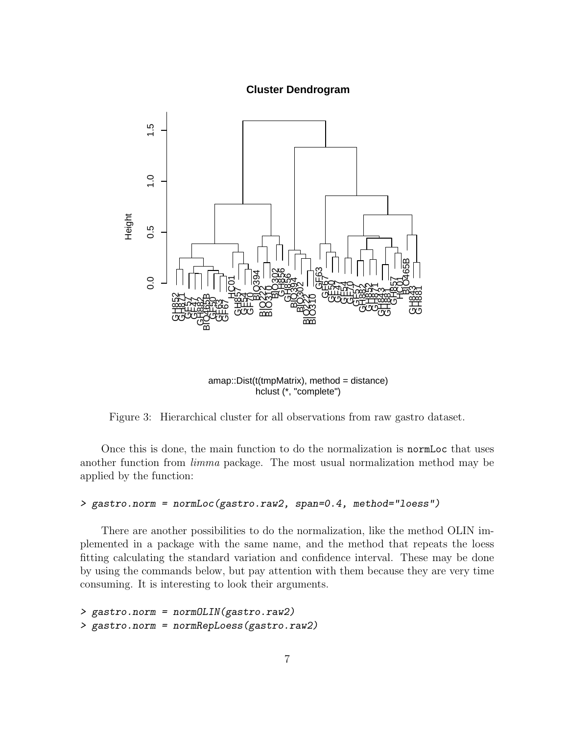#### **Cluster Dendrogram**



hclust (\*, "complete") amap::Dist(t(tmpMatrix), method = distance)

<span id="page-6-0"></span>Figure 3: Hierarchical cluster for all observations from raw gastro dataset.

Once this is done, the main function to do the normalization is normLoc that uses another function from limma package. The most usual normalization method may be applied by the function:

```
> gastro.norm = normLoc(gastro.raw2, span=0.4, method="loess")
```
There are another possibilities to do the normalization, like the method OLIN implemented in a package with the same name, and the method that repeats the loess fitting calculating the standard variation and confidence interval. These may be done by using the commands below, but pay attention with them because they are very time consuming. It is interesting to look their arguments.

```
> gastro.norm = normOLIN(gastro.raw2)
> gastro.norm = normRepLoess(gastro.raw2)
```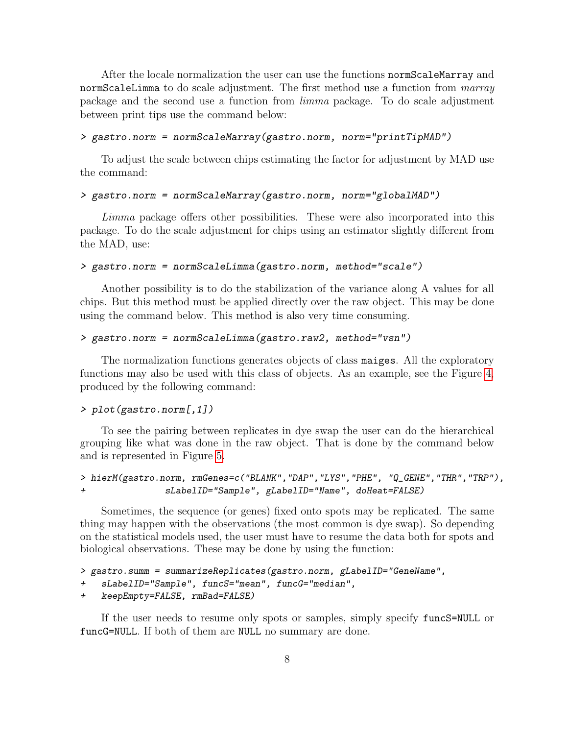After the locale normalization the user can use the functions normScaleMarray and normScaleLimma to do scale adjustment. The first method use a function from *marray* package and the second use a function from limma package. To do scale adjustment between print tips use the command below:

#### > gastro.norm = normScaleMarray(gastro.norm, norm="printTipMAD")

To adjust the scale between chips estimating the factor for adjustment by MAD use the command:

#### > gastro.norm = normScaleMarray(gastro.norm, norm="globalMAD")

Limma package offers other possibilities. These were also incorporated into this package. To do the scale adjustment for chips using an estimator slightly different from the MAD, use:

#### > gastro.norm = normScaleLimma(gastro.norm, method="scale")

Another possibility is to do the stabilization of the variance along A values for all chips. But this method must be applied directly over the raw object. This may be done using the command below. This method is also very time consuming.

#### > gastro.norm = normScaleLimma(gastro.raw2, method="vsn")

The normalization functions generates objects of class maiges. All the exploratory functions may also be used with this class of objects. As an example, see the Figure [4,](#page-8-2) produced by the following command:

#### > plot(gastro.norm[,1])

To see the pairing between replicates in dye swap the user can do the hierarchical grouping like what was done in the raw object. That is done by the command below and is represented in Figure [5.](#page-9-0)

> hierM(gastro.norm, rmGenes=c("BLANK","DAP","LYS","PHE", "Q\_GENE","THR","TRP"), + sLabelID="Sample", gLabelID="Name", doHeat=FALSE)

Sometimes, the sequence (or genes) fixed onto spots may be replicated. The same thing may happen with the observations (the most common is dye swap). So depending on the statistical models used, the user must have to resume the data both for spots and biological observations. These may be done by using the function:

```
> gastro.summ = summarizeReplicates(gastro.norm, gLabelID="GeneName",
```

```
+ sLabelID="Sample", funcS="mean", funcG="median",
```

```
+ keepEmpty=FALSE, rmBad=FALSE)
```
If the user needs to resume only spots or samples, simply specify funcS=NULL or funcG=NULL. If both of them are NULL no summary are done.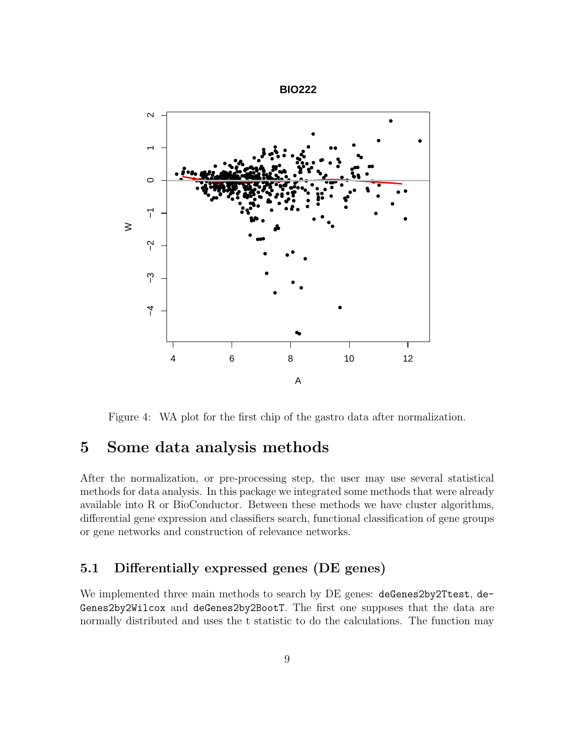

<span id="page-8-2"></span>Figure 4: WA plot for the first chip of the gastro data after normalization.

## <span id="page-8-0"></span>5 Some data analysis methods

After the normalization, or pre-processing step, the user may use several statistical methods for data analysis. In this package we integrated some methods that were already available into R or BioConductor. Between these methods we have cluster algorithms, differential gene expression and classifiers search, functional classification of gene groups or gene networks and construction of relevance networks.

## <span id="page-8-1"></span>5.1 Differentially expressed genes (DE genes)

We implemented three main methods to search by DE genes: deGenes2by2Ttest, de-Genes2by2Wilcox and deGenes2by2BootT. The first one supposes that the data are normally distributed and uses the t statistic to do the calculations. The function may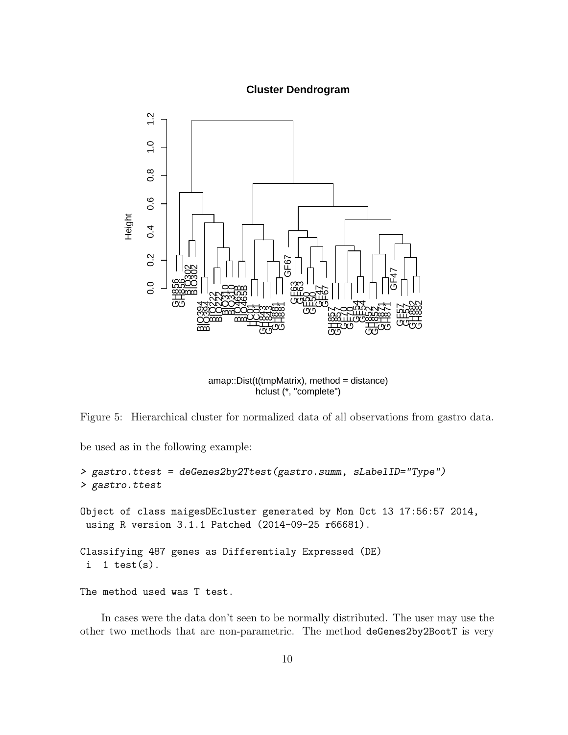#### **Cluster Dendrogram**



hclust (\*, "complete") amap::Dist(t(tmpMatrix), method = distance)

<span id="page-9-0"></span>Figure 5: Hierarchical cluster for normalized data of all observations from gastro data.

be used as in the following example:

```
> gastro.ttest = deGenes2by2Ttest(gastro.summ, sLabelID="Type")
> gastro.ttest
Object of class maigesDEcluster generated by Mon Oct 13 17:56:57 2014,
using R version 3.1.1 Patched (2014-09-25 r66681).
Classifying 487 genes as Differentialy Expressed (DE)
 i 1 test(s).
```
The method used was T test.

In cases were the data don't seen to be normally distributed. The user may use the other two methods that are non-parametric. The method deGenes2by2BootT is very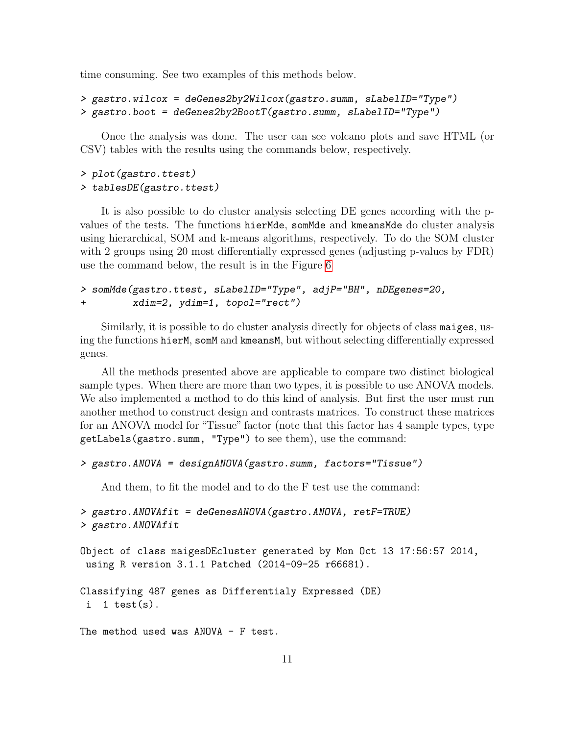time consuming. See two examples of this methods below.

```
> gastro.wilcox = deGenes2by2Wilcox(gastro.summ, sLabelID="Type")
> gastro.boot = deGenes2by2BootT(gastro.summ, sLabelID="Type")
```
Once the analysis was done. The user can see volcano plots and save HTML (or CSV) tables with the results using the commands below, respectively.

#### > plot(gastro.ttest) > tablesDE(gastro.ttest)

It is also possible to do cluster analysis selecting DE genes according with the pvalues of the tests. The functions hierMde, somMde and kmeansMde do cluster analysis using hierarchical, SOM and k-means algorithms, respectively. To do the SOM cluster with 2 groups using 20 most differentially expressed genes (adjusting p-values by FDR) use the command below, the result is in the Figure [6](#page-11-0)

```
> somMde(gastro.ttest, sLabelID="Type", adjP="BH", nDEgenes=20,
+ xdim=2, ydim=1, topol="rect")
```
Similarly, it is possible to do cluster analysis directly for objects of class maiges, using the functions hierM, somM and kmeansM, but without selecting differentially expressed genes.

All the methods presented above are applicable to compare two distinct biological sample types. When there are more than two types, it is possible to use ANOVA models. We also implemented a method to do this kind of analysis. But first the user must run another method to construct design and contrasts matrices. To construct these matrices for an ANOVA model for "Tissue" factor (note that this factor has 4 sample types, type getLabels(gastro.summ, "Type") to see them), use the command:

```
> gastro.ANOVA = designANOVA(gastro.summ, factors="Tissue")
```
And them, to fit the model and to do the F test use the command:

```
> gastro.ANOVAfit = deGenesANOVA(gastro.ANOVA, retF=TRUE)
> gastro.ANOVAfit
```

```
Object of class maigesDEcluster generated by Mon Oct 13 17:56:57 2014,
using R version 3.1.1 Patched (2014-09-25 r66681).
```

```
Classifying 487 genes as Differentialy Expressed (DE)
 i 1 test(s).
```
The method used was  $ANDVA$  - F test.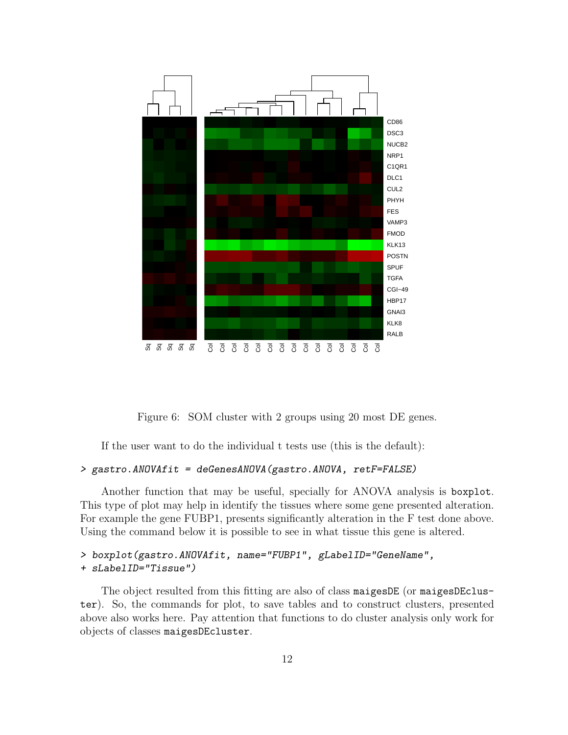

<span id="page-11-0"></span>Figure 6: SOM cluster with 2 groups using 20 most DE genes.

If the user want to do the individual t tests use (this is the default):

#### > gastro.ANOVAfit = deGenesANOVA(gastro.ANOVA, retF=FALSE)

Another function that may be useful, specially for ANOVA analysis is boxplot. This type of plot may help in identify the tissues where some gene presented alteration. For example the gene FUBP1, presents significantly alteration in the F test done above. Using the command below it is possible to see in what tissue this gene is altered.

```
> boxplot(gastro.ANOVAfit, name="FUBP1", gLabelID="GeneName",
+ sLabelID="Tissue")
```
The object resulted from this fitting are also of class maigesDE (or maigesDEcluster). So, the commands for plot, to save tables and to construct clusters, presented above also works here. Pay attention that functions to do cluster analysis only work for objects of classes maigesDEcluster.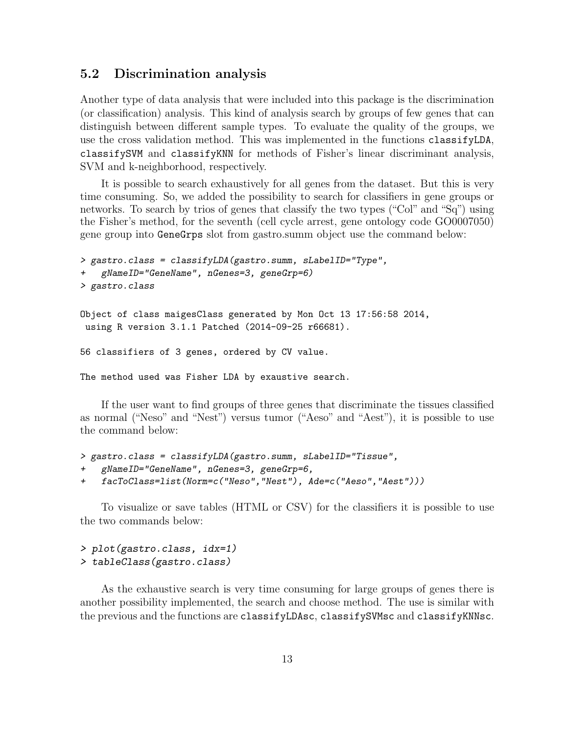#### <span id="page-12-0"></span>5.2 Discrimination analysis

Another type of data analysis that were included into this package is the discrimination (or classification) analysis. This kind of analysis search by groups of few genes that can distinguish between different sample types. To evaluate the quality of the groups, we use the cross validation method. This was implemented in the functions classifyLDA, classifySVM and classifyKNN for methods of Fisher's linear discriminant analysis, SVM and k-neighborhood, respectively.

It is possible to search exhaustively for all genes from the dataset. But this is very time consuming. So, we added the possibility to search for classifiers in gene groups or networks. To search by trios of genes that classify the two types ("Col" and "Sq") using the Fisher's method, for the seventh (cell cycle arrest, gene ontology code GO0007050) gene group into GeneGrps slot from gastro.summ object use the command below:

```
> gastro.class = classifyLDA(gastro.summ, sLabelID="Type",
    + gNameID="GeneName", nGenes=3, geneGrp=6)
> gastro.class
```

```
Object of class maigesClass generated by Mon Oct 13 17:56:58 2014,
 using R version 3.1.1 Patched (2014-09-25 r66681).
```
56 classifiers of 3 genes, ordered by CV value.

The method used was Fisher LDA by exaustive search.

If the user want to find groups of three genes that discriminate the tissues classified as normal ("Neso" and "Nest") versus tumor ("Aeso" and "Aest"), it is possible to use the command below:

```
> gastro.class = classifyLDA(gastro.summ, sLabelID="Tissue",
   + gNameID="GeneName", nGenes=3, geneGrp=6,
+ facToClass=list(Norm=c("Neso","Nest"), Ade=c("Aeso","Aest")))
```
To visualize or save tables (HTML or CSV) for the classifiers it is possible to use the two commands below:

```
> plot(gastro.class, idx=1)
> tableClass(gastro.class)
```
As the exhaustive search is very time consuming for large groups of genes there is another possibility implemented, the search and choose method. The use is similar with the previous and the functions are classifyLDAsc, classifySVMsc and classifyKNNsc.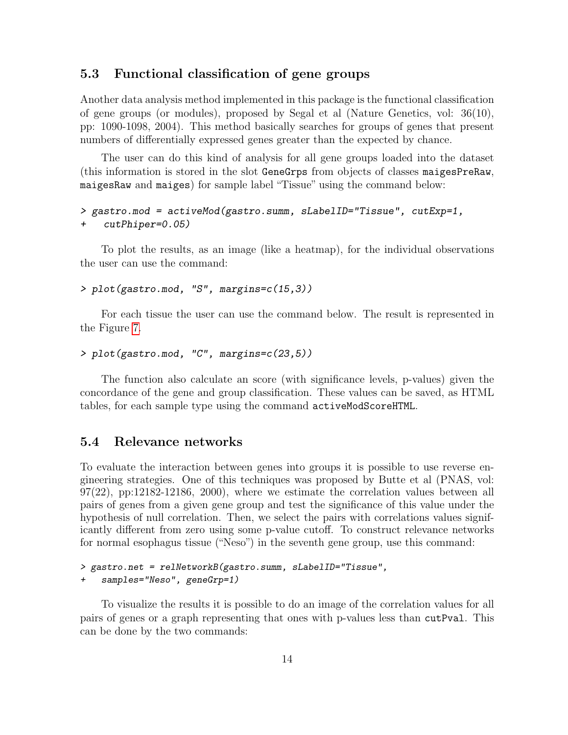#### <span id="page-13-0"></span>5.3 Functional classification of gene groups

Another data analysis method implemented in this package is the functional classification of gene groups (or modules), proposed by Segal et al (Nature Genetics, vol: 36(10), pp: 1090-1098, 2004). This method basically searches for groups of genes that present numbers of differentially expressed genes greater than the expected by chance.

The user can do this kind of analysis for all gene groups loaded into the dataset (this information is stored in the slot GeneGrps from objects of classes maigesPreRaw, maigesRaw and maiges) for sample label "Tissue" using the command below:

```
> gastro.mod = activeMod(gastro.summ, sLabelID="Tissue", cutExp=1,
+ cutPhiper=0.05)
```
To plot the results, as an image (like a heatmap), for the individual observations the user can use the command:

```
> plot(gastro.mod, "S", margins=c(15,3))
```
For each tissue the user can use the command below. The result is represented in the Figure [7.](#page-14-0)

```
> plot(gastro.mod, "C", margins=c(23,5))
```
The function also calculate an score (with significance levels, p-values) given the concordance of the gene and group classification. These values can be saved, as HTML tables, for each sample type using the command activeModScoreHTML.

#### <span id="page-13-1"></span>5.4 Relevance networks

To evaluate the interaction between genes into groups it is possible to use reverse engineering strategies. One of this techniques was proposed by Butte et al (PNAS, vol:  $97(22)$ , pp:12182-12186, 2000), where we estimate the correlation values between all pairs of genes from a given gene group and test the significance of this value under the hypothesis of null correlation. Then, we select the pairs with correlations values significantly different from zero using some p-value cutoff. To construct relevance networks for normal esophagus tissue ("Neso") in the seventh gene group, use this command:

```
> gastro.net = relNetworkB(gastro.summ, sLabelID="Tissue",
+ samples="Neso", geneGrp=1)
```
To visualize the results it is possible to do an image of the correlation values for all pairs of genes or a graph representing that ones with p-values less than cutPval. This can be done by the two commands: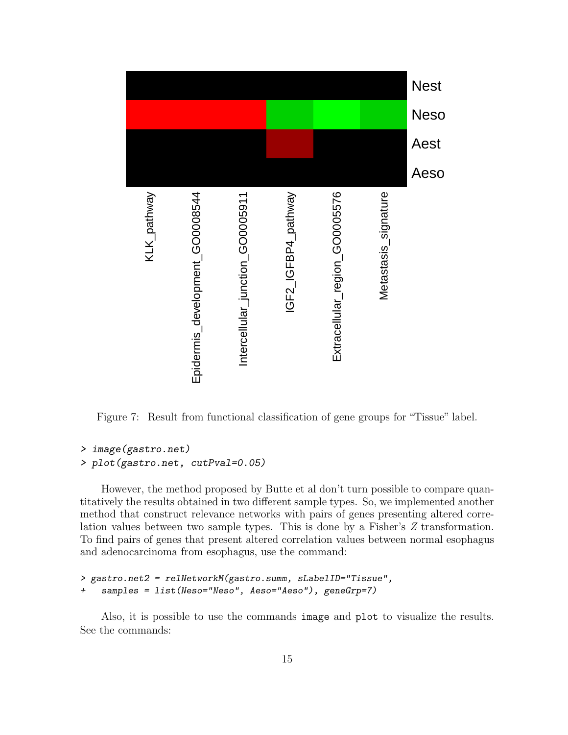

<span id="page-14-0"></span>Figure 7: Result from functional classification of gene groups for "Tissue" label.

```
> image(gastro.net)
> plot(gastro.net, cutPval=0.05)
```
However, the method proposed by Butte et al don't turn possible to compare quantitatively the results obtained in two different sample types. So, we implemented another method that construct relevance networks with pairs of genes presenting altered correlation values between two sample types. This is done by a Fisher's Z transformation. To find pairs of genes that present altered correlation values between normal esophagus and adenocarcinoma from esophagus, use the command:

```
> gastro.net2 = relNetworkM(gastro.summ, sLabelID="Tissue",
+ samples = list(Neso="Neso", Aeso="Aeso"), geneGrp=7)
```
Also, it is possible to use the commands image and plot to visualize the results. See the commands: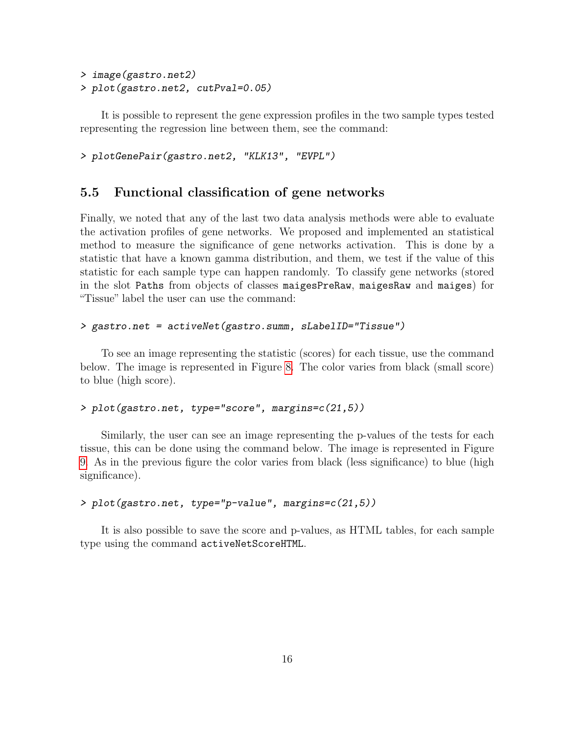```
> image(gastro.net2)
> plot(gastro.net2, cutPval=0.05)
```
It is possible to represent the gene expression profiles in the two sample types tested representing the regression line between them, see the command:

> plotGenePair(gastro.net2, "KLK13", "EVPL")

#### <span id="page-15-0"></span>5.5 Functional classification of gene networks

Finally, we noted that any of the last two data analysis methods were able to evaluate the activation profiles of gene networks. We proposed and implemented an statistical method to measure the significance of gene networks activation. This is done by a statistic that have a known gamma distribution, and them, we test if the value of this statistic for each sample type can happen randomly. To classify gene networks (stored in the slot Paths from objects of classes maigesPreRaw, maigesRaw and maiges) for "Tissue" label the user can use the command:

```
> gastro.net = activeNet(gastro.summ, sLabelID="Tissue")
```
To see an image representing the statistic (scores) for each tissue, use the command below. The image is represented in Figure [8.](#page-16-0) The color varies from black (small score) to blue (high score).

```
> plot(gastro.net, type="score", margins=c(21,5))
```
Similarly, the user can see an image representing the p-values of the tests for each tissue, this can be done using the command below. The image is represented in Figure [9.](#page-17-0) As in the previous figure the color varies from black (less significance) to blue (high significance).

```
> plot(gastro.net, type="p-value", margins=c(21,5))
```
It is also possible to save the score and p-values, as HTML tables, for each sample type using the command activeNetScoreHTML.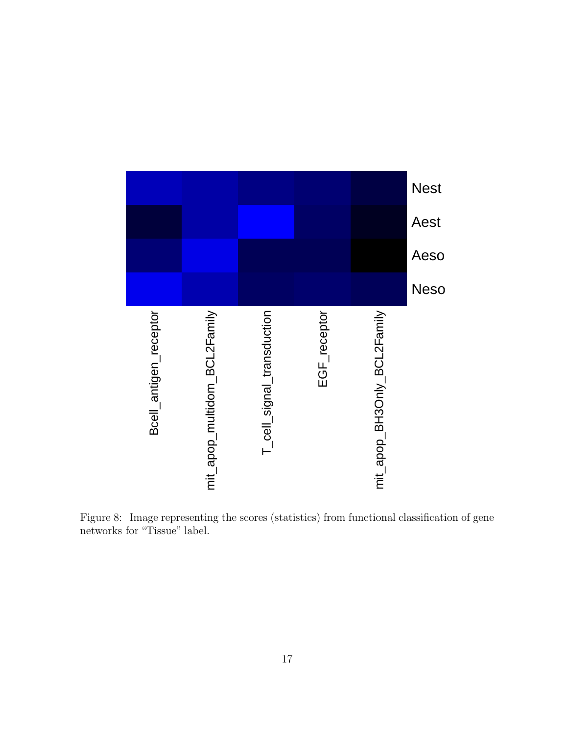

<span id="page-16-0"></span>Figure 8: Image representing the scores (statistics) from functional classification of gene networks for "Tissue" label.